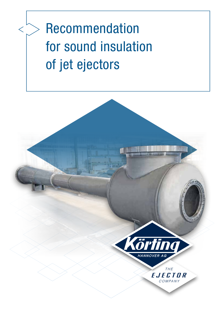# Recommendation for sound insulation of jet ejectors

 $\lt$ 

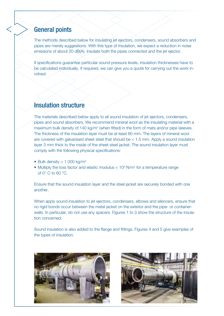### General points

The methods described below for insulating jet ejectors, condensers, sound absorbers and pipes are merely suggestions. With this type of insulation, we expect a reduction in noise emissions of about 20 dB(A). Insulate both the pipes connected and the jet ejector.

If specifications guarantee particular sound pressure levels, insulation thicknesses have to be calculated individually. If required, we can give you a quote for carrying out the work involved.

## Insulation structure

The materials described below apply to all sound insulation of jet ejectors, condensers, pipes and sound absorbers. We recommend mineral wool as the insulating material with a maximum bulk density of 140 kg/m<sup>3</sup> (when fitted) in the form of mats and/or pipe sleeves. The thickness of the insulation layer must be at least 60 mm. The layers of mineral wool are covered with galvanised sheet steel that should be < 1.5 mm. Apply a sound insulation layer 3 mm thick to the inside of the sheet steel jacket. The sound insulation layer must comply with the following physical specifications:

- Bulk density  $> 1000 \text{ kg/m}^3$
- Multiply the loss factor and elastic modulus  $< 10<sup>9</sup>$  N/m<sup>2</sup> for a temperature range of 0° C to 60 °C.

Ensure that the sound insulation layer and the steel jacket are securely bonded with one another.

When apply sound insulation to jet ejectors, condensers, elbows and silencers, ensure that no rigid bonds occur between the metal jacket on the exterior and the pipe- or containerwalls. In particular, do not use any spacers. Figures 1 to 3 show the structure of the insulation concerned.

Sound insulation is also added to the flange and fittings. Figures 4 and 5 give examples of the types of insulation.



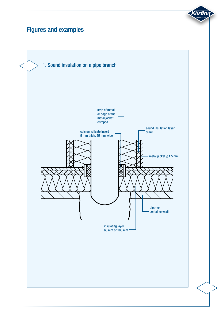## Figures and examples

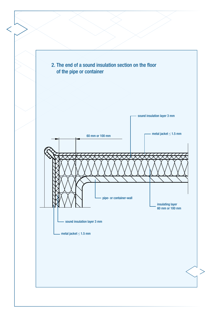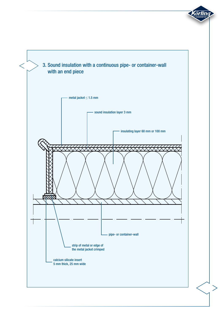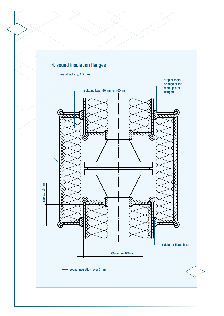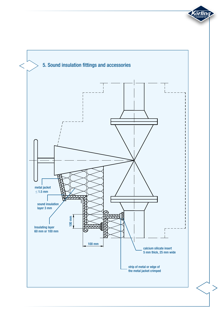